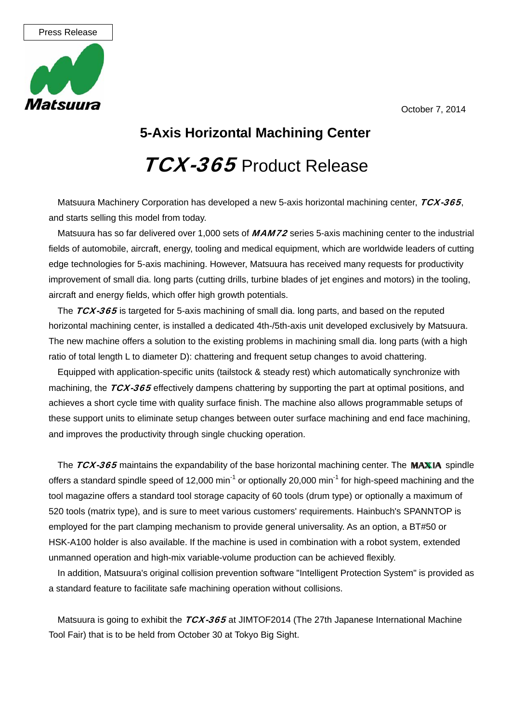October 7, 2014



## **5-Axis Horizontal Machining Center**

## TCX-365 Product Release

Matsuura Machinery Corporation has developed a new 5-axis horizontal machining center,  $TCX-365$ , and starts selling this model from today.

Matsuura has so far delivered over 1,000 sets of MAM72 series 5-axis machining center to the industrial fields of automobile, aircraft, energy, tooling and medical equipment, which are worldwide leaders of cutting edge technologies for 5-axis machining. However, Matsuura has received many requests for productivity improvement of small dia. long parts (cutting drills, turbine blades of jet engines and motors) in the tooling, aircraft and energy fields, which offer high growth potentials.

The TCX-365 is targeted for 5-axis machining of small dia. long parts, and based on the reputed horizontal machining center, is installed a dedicated 4th-/5th-axis unit developed exclusively by Matsuura. The new machine offers a solution to the existing problems in machining small dia. long parts (with a high ratio of total length L to diameter D): chattering and frequent setup changes to avoid chattering.

Equipped with application-specific units (tailstock & steady rest) which automatically synchronize with machining, the  $TCX-365$  effectively dampens chattering by supporting the part at optimal positions, and achieves a short cycle time with quality surface finish. The machine also allows programmable setups of these support units to eliminate setup changes between outer surface machining and end face machining, and improves the productivity through single chucking operation.

The  $TCX-365$  maintains the expandability of the base horizontal machining center. The MAXIA spindle offers a standard spindle speed of 12,000 min<sup>-1</sup> or optionally 20,000 min<sup>-1</sup> for high-speed machining and the tool magazine offers a standard tool storage capacity of 60 tools (drum type) or optionally a maximum of 520 tools (matrix type), and is sure to meet various customers' requirements. Hainbuch's SPANNTOP is employed for the part clamping mechanism to provide general universality. As an option, a BT#50 or HSK-A100 holder is also available. If the machine is used in combination with a robot system, extended unmanned operation and high-mix variable-volume production can be achieved flexibly.

In addition, Matsuura's original collision prevention software "Intelligent Protection System" is provided as a standard feature to facilitate safe machining operation without collisions.

Matsuura is going to exhibit the TCX-365 at JIMTOF2014 (The 27th Japanese International Machine Tool Fair) that is to be held from October 30 at Tokyo Big Sight.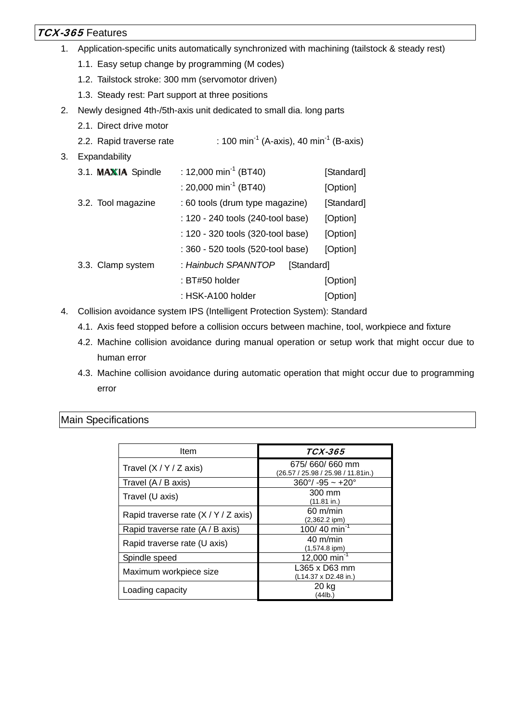## TCX-365 Features

- 1. Application-specific units automatically synchronized with machining (tailstock & steady rest)
	- 1.1. Easy setup change by programming (M codes)
	- 1.2. Tailstock stroke: 300 mm (servomotor driven)
	- 1.3. Steady rest: Part support at three positions
- 2. Newly designed 4th-/5th-axis unit dedicated to small dia. long parts
	- 2.1. Direct drive motor
	- 2.2. Rapid traverse rate  $\therefore$  100 min<sup>-1</sup> (A-axis), 40 min<sup>-1</sup> (B-axis)
- 3. Expandability

| 3.1. MAXIA Spindle | : 12,000 min <sup>-1</sup> (BT40) | [Standard] |
|--------------------|-----------------------------------|------------|
|                    | : 20,000 min <sup>-1</sup> (BT40) | [Option]   |
| 3.2. Tool magazine | : 60 tools (drum type magazine)   | [Standard] |
|                    | : 120 - 240 tools (240-tool base) | [Option]   |
|                    | : 120 - 320 tools (320-tool base) | [Option]   |
|                    | : 360 - 520 tools (520-tool base) | [Option]   |
| 3.3. Clamp system  | : Hainbuch SPANNTOP<br>[Standard] |            |
|                    | : BT#50 holder                    | [Option]   |
|                    | : HSK-A100 holder                 | [Option]   |

- 4. Collision avoidance system IPS (Intelligent Protection System): Standard
	- 4.1. Axis feed stopped before a collision occurs between machine, tool, workpiece and fixture
	- 4.2. Machine collision avoidance during manual operation or setup work that might occur due to human error
	- 4.3. Machine collision avoidance during automatic operation that might occur due to programming error

| Item                               | <i>TCX-365</i>                                       |  |  |
|------------------------------------|------------------------------------------------------|--|--|
| Travel $(X/Y/Z axis)$              | 675/660/660 mm<br>(26.57 / 25.98 / 25.98 / 11.81in.) |  |  |
| Travel (A / B axis)                | $360^{\circ}/ -95 \sim +20^{\circ}$                  |  |  |
| Travel (U axis)                    | 300 mm<br>(11.81 in.)                                |  |  |
| Rapid traverse rate $(X/Y/Z axis)$ | $60 \text{ m/min}$<br>$(2,362.2$ ipm)                |  |  |
| Rapid traverse rate (A / B axis)   | $100/40$ min <sup>-1</sup>                           |  |  |
| Rapid traverse rate (U axis)       | $40 \text{ m/min}$<br>$(1,574.8$ ipm)                |  |  |
| Spindle speed                      | 12,000 $min^{-1}$                                    |  |  |
| Maximum workpiece size             | L365 x D63 mm<br>(L14.37 x D2.48 in.)                |  |  |
| Loading capacity                   | 20 kg<br>(44lb.)                                     |  |  |

Main Specifications